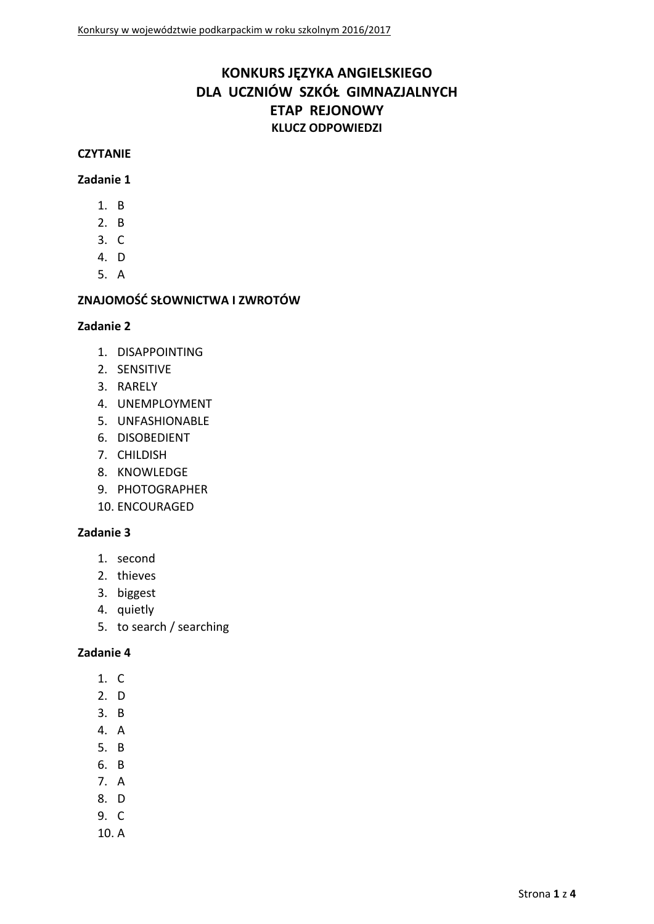# **KONKURS JĘZYKA ANGIELSKIEGO DLA UCZNIÓW SZKÓŁ GIMNAZJALNYCH ETAP REJONOWY KLUCZ ODPOWIEDZI**

#### **CZYTANIE**

### **Zadanie 1**

- 1. B
- 2. B
- 3. C
- 4. D
- 5. A

# **ZNAJOMOŚĆ SŁOWNICTWA I ZWROTÓW**

### **Zadanie 2**

- 1. DISAPPOINTING
- 2. SENSITIVE
- 3. RARELY
- 4. UNEMPLOYMENT
- 5. UNFASHIONABLE
- 6. DISOBEDIENT
- 7. CHILDISH
- 8. KNOWLEDGE
- 9. PHOTOGRAPHER
- 10. ENCOURAGED

### **Zadanie 3**

- 1. second
- 2. thieves
- 3. biggest
- 4. quietly
- 5. to search / searching

- 1. C
- 2. D
- 3. B
- 4. A
- 5. B
- 6. B
- 7. A
- 8. D
- 9. C
- 10. A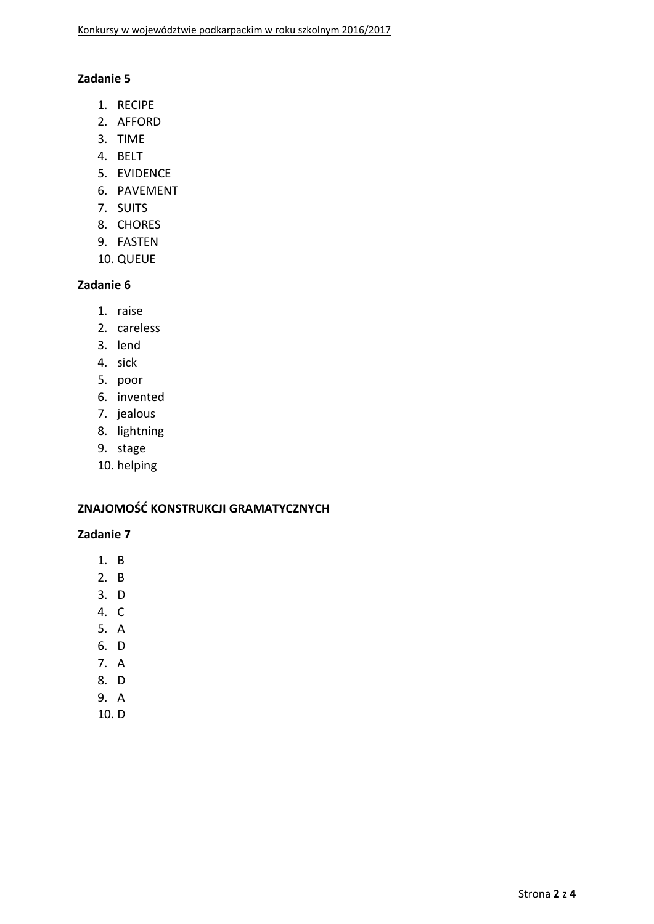### **Zadanie 5**

- 1. RECIPE
- 2. AFFORD
- 3. TIME
- 4. BELT
- 5. EVIDENCE
- 6. PAVEMENT
- 7. SUITS
- 8. CHORES
- 9. FASTEN
- 10. QUEUE

# **Zadanie 6**

- 1. raise
- 2. careless
- 3. lend
- 4. sick
- 5. poor
- 6. invented
- 7. jealous
- 8. lightning
- 9. stage
- 10. helping

### **ZNAJOMOŚĆ KONSTRUKCJI GRAMATYCZNYCH**

- 1. B
- 2. B
- 3. D
- 4. C
- 5. A
- 6. D
- 7. A
- 8. D
- 9. A
- 10. D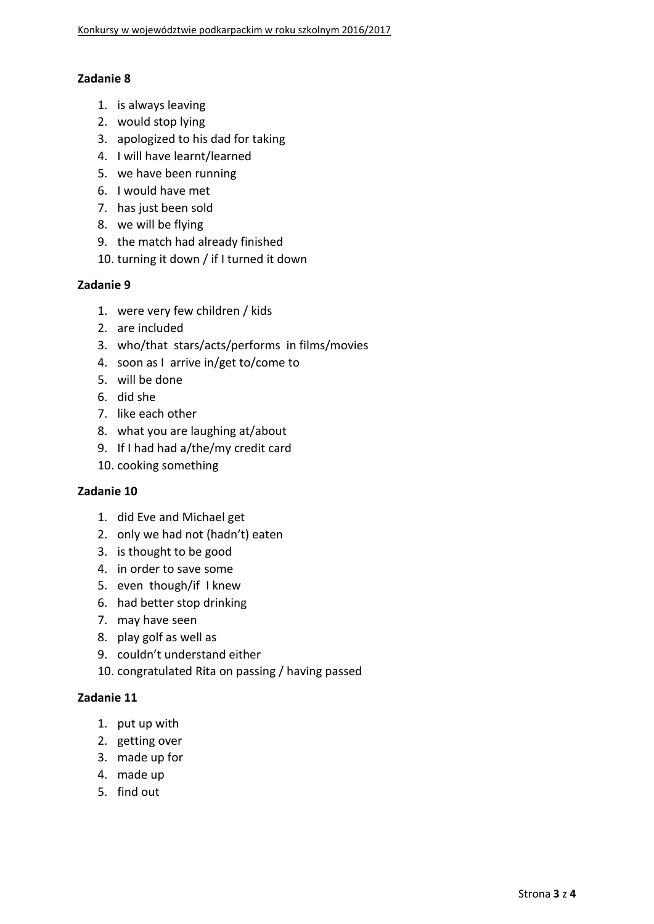## **Zadanie 8**

- 1. is always leaving
- 2. would stop lying
- 3. apologized to his dad for taking
- 4. I will have learnt/learned
- 5. we have been running
- 6. I would have met
- 7. has just been sold
- 8. we will be flying
- 9. the match had already finished
- 10. turning it down / if I turned it down

### **Zadanie 9**

- 1. were very few children / kids
- 2. are included
- 3. who/that stars/acts/performs in films/movies
- 4. soon as I arrive in/get to/come to
- 5. will be done
- 6. did she
- 7. like each other
- 8. what you are laughing at/about
- 9. If I had had a/the/my credit card
- 10. cooking something

### **Zadanie 10**

- 1. did Eve and Michael get
- 2. only we had not (hadn't) eaten
- 3. is thought to be good
- 4. in order to save some
- 5. even though/if I knew
- 6. had better stop drinking
- 7. may have seen
- 8. play golf as well as
- 9. couldn't understand either

10. congratulated Rita on passing / having passed

- 1. put up with
- 2. getting over
- 3. made up for
- 4. made up
- 5. find out